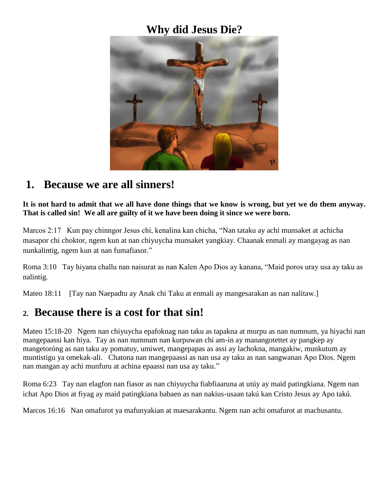### **Why did Jesus Die?**



### **1. Because we are all sinners!**

**It is not hard to admit that we all have done things that we know is wrong, but yet we do them anyway. That is called sin! We all are guilty of it we have been doing it since we were born.**

Marcos 2:17 Kun pay chinngor Jesus chi, kenalina kan chicha, "Nan tataku ay achi munsaket at achicha masapor chi choktor, ngem kun at nan chiyuycha munsaket yangkiay. Chaanak enmali ay mangayag as nan nunkalintig, ngem kun at nan fumafiasor."

Roma 3:10 Tay hiyana challu nan naisurat as nan Kalen Apo Dios ay kanana, "Maid poros uray usa ay taku as nalintig.

Mateo 18:11 [Tay nan Naepadtu ay Anak chi Taku at enmali ay mangesarakan as nan nalitaw.]

## **2. Because there is a cost for that sin!**

Mateo 15:18-20 Ngem nan chiyuycha epafoknag nan taku as tapakna at murpu as nan numnum, ya hiyachi nan mangepaassi kan hiya. Tay as nan numnum nan kurpuwan chi am-in ay manangotettet ay pangkep ay mangetoróng as nan taku ay pomatuy, umiwet, mangepapas as assi ay lachokna, mangakiw, munkutum ay muntistigu ya omekak-ali. Chatona nan mangepaassi as nan usa ay taku as nan sangwanan Apo Dios. Ngem nan mangan ay achi munfuru at achina epaassi nan usa ay taku."

Roma 6:23 Tay nan elagfon nan fiasor as nan chiyuycha fiabfiaaruna at utúy ay maid patingkiana. Ngem nan ichat Apo Dios at fiyag ay maid patingkiana babaen as nan nakius-usaan takú kan Cristo Jesus ay Apo takú.

Marcos 16:16 Nan omafurot ya mafunyakian at maesarakantu. Ngem nan achi omafurot at machusantu.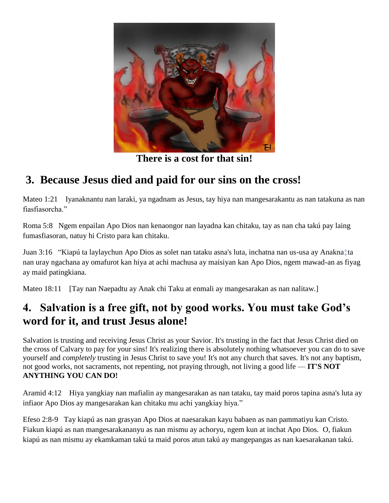

**There is a cost for that sin!**

# **3. Because Jesus died and paid for our sins on the cross!**

Mateo 1:21 Iyanaknantu nan laraki, ya ngadnam as Jesus, tay hiya nan mangesarakantu as nan tatakuna as nan fiasfiasorcha."

Roma 5:8 Ngem enpailan Apo Dios nan kenaongor nan layadna kan chitaku, tay as nan cha takú pay laing fumasfiasoran, natuy hi Cristo para kan chitaku.

Juan 3:16 "Kiapú ta laylaychun Apo Dios as solet nan tataku asna's luta, inchatna nan us-usa ay Anakn[a‡t](http://ebible.org/study/content/texts/EBKWBT/JN3.html#note-257)a nan uray ngachana ay omafurot kan hiya at achi machusa ay maisiyan kan Apo Dios, ngem mawad-an as fiyag ay maid patingkiana.

Mateo 18:11 [Tay nan Naepadtu ay Anak chi Taku at enmali ay mangesarakan as nan nalitaw.]

## **4. Salvation is a free gift, not by good works. You must take God's word for it, and trust Jesus alone!**

Salvation is trusting and receiving Jesus Christ as your Savior. It's trusting in the fact that Jesus Christ died on the cross of Calvary to pay for your sins! It's realizing there is absolutely nothing whatsoever you can do to save yourself and *completely* trusting in Jesus Christ to save you! It's not any church that saves. It's not any baptism, not good works, not sacraments, not repenting, not praying through, not living a good life — **IT'S NOT ANYTHING YOU CAN DO!**

Aramid 4:12 Hiya yangkiay nan mafialin ay mangesarakan as nan tataku, tay maid poros tapina asna's luta ay infiaor Apo Dios ay mangesarakan kan chitaku mu achi yangkiay hiya."

Efeso 2:8-9 Tay kiapú as nan grasyan Apo Dios at naesarakan kayu babaen as nan pammatiyu kan Cristo. Fiakun kiapú as nan mangesarakananyu as nan mismu ay achoryu, ngem kun at inchat Apo Dios. O, fiakun kiapú as nan mismu ay ekamkaman takú ta maid poros atun takú ay mangepangas as nan kaesarakanan takú.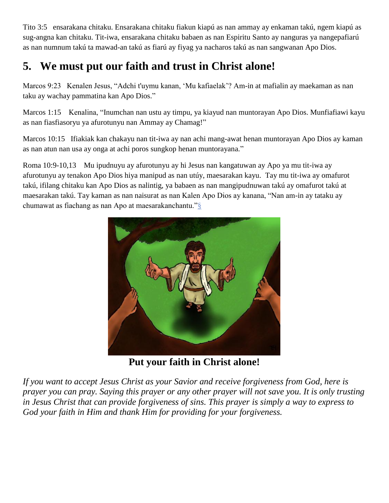Tito 3:5 ensarakana chitaku. Ensarakana chitaku fiakun kiapú as nan ammay ay enkaman takú, ngem kiapú as sug-angna kan chitaku. Tit-iwa, ensarakana chitaku babaen as nan Espiritu Santo ay nanguras ya nangepafiarú as nan numnum takú ta mawad-an takú as fiarú ay fiyag ya nacharos takú as nan sangwanan Apo Dios.

# **5. We must put our faith and trust in Christ alone!**

Marcos 9:23 Kenalen Jesus, "Adchi t'uymu kanan, 'Mu kafiaelak'? Am-in at mafialin ay maekaman as nan taku ay wachay pammatina kan Apo Dios."

Marcos 1:15 Kenalina, "Inumchan nan ustu ay timpu, ya kiayud nan muntorayan Apo Dios. Munfiafiawi kayu as nan fiasfiasoryu ya afurotunyu nan Ammay ay Chamag!"

Marcos 10:15 Ifiakiak kan chakayu nan tit-iwa ay nan achi mang-awat henan muntorayan Apo Dios ay kaman as nan atun nan usa ay onga at achi poros sungkop henan muntorayana."

Roma 10:9-10,13 Mu ipudnuyu ay afurotunyu ay hi Jesus nan kangatuwan ay Apo ya mu tit-iwa ay afurotunyu ay tenakon Apo Dios hiya manipud as nan utúy, maesarakan kayu. Tay mu tit-iwa ay omafurot takú, ifilang chitaku kan Apo Dios as nalintig, ya babaen as nan mangipudnuwan takú ay omafurot takú at maesarakan takú. Tay kaman as nan naisurat as nan Kalen Apo Dios ay kanana, "Nan am-in ay tataku ay chumawat as fiachang as nan Apo at maesarakanchantu.["§](http://ebible.org/study/content/texts/EBKWBT/RM10.html#note-451)



**Put your faith in Christ alone!**

*If you want to accept Jesus Christ as your Savior and receive forgiveness from God, here is prayer you can pray. Saying this prayer or any other prayer will not save you. It is only trusting in Jesus Christ that can provide forgiveness of sins. This prayer is simply a way to express to God your faith in Him and thank Him for providing for your forgiveness.*